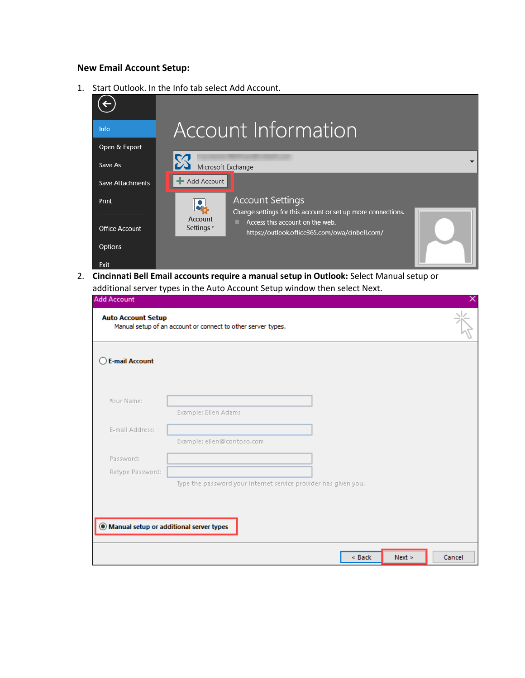## **New Email Account Setup:**

1. Start Outlook. In the Info tab select Add Account.



2. **Cincinnati Bell Email accounts require a manual setup in Outlook:** Select Manual setup or additional server types in the Auto Account Setup window then select Next.

| . .<br><b>Add Account</b>                 |                                                                 | ×                |
|-------------------------------------------|-----------------------------------------------------------------|------------------|
| <b>Auto Account Setup</b>                 | Manual setup of an account or connect to other server types.    |                  |
| <b>E-mail Account</b>                     |                                                                 |                  |
| Your Name:                                | Example: Ellen Adams                                            |                  |
| E-mail Address:                           | Example: ellen@contoso.com                                      |                  |
| Password:<br>Retype Password:             |                                                                 |                  |
|                                           | Type the password your Internet service provider has given you. |                  |
| ◉ Manual setup or additional server types |                                                                 |                  |
|                                           | $<$ Back                                                        | Next ><br>Cancel |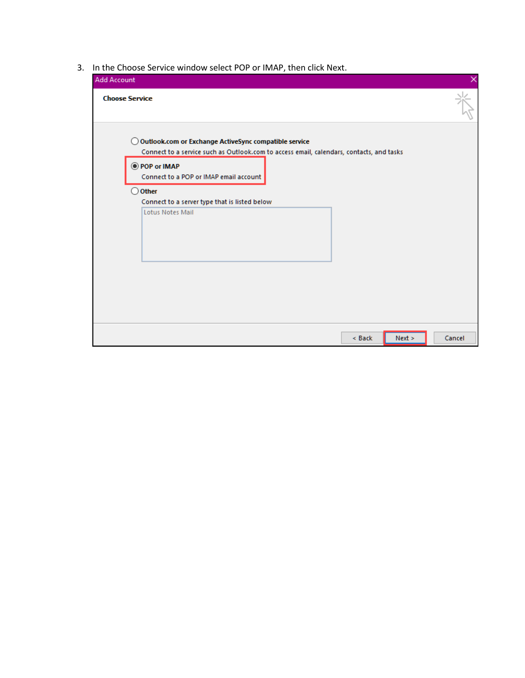3. In the Choose Service window select POP or IMAP, then click Next.

| <b>Add Account</b>                                                                                                                                                      |        |        |        |
|-------------------------------------------------------------------------------------------------------------------------------------------------------------------------|--------|--------|--------|
| <b>Choose Service</b>                                                                                                                                                   |        |        |        |
| Outlook.com or Exchange ActiveSync compatible service<br>0<br>Connect to a service such as Outlook.com to access email, calendars, contacts, and tasks<br>O POP or IMAP |        |        |        |
| Connect to a POP or IMAP email account                                                                                                                                  |        |        |        |
| Other<br>O<br>Connect to a server type that is listed below<br><b>Lotus Notes Mail</b>                                                                                  |        |        |        |
|                                                                                                                                                                         |        |        |        |
|                                                                                                                                                                         |        |        |        |
|                                                                                                                                                                         |        |        |        |
|                                                                                                                                                                         |        |        |        |
|                                                                                                                                                                         |        |        |        |
|                                                                                                                                                                         | < Back | Next > | Cancel |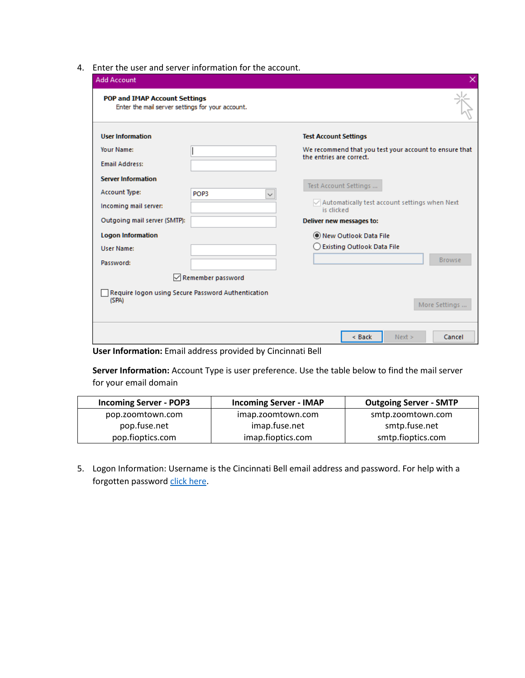4. Enter the user and server information for the account.

| Enter the mail server settings for your account.            |                                                                                        |
|-------------------------------------------------------------|----------------------------------------------------------------------------------------|
| <b>User Information</b>                                     | <b>Test Account Settings</b>                                                           |
| Your Name:<br><b>Email Address:</b>                         | We recommend that you test your account to ensure that<br>the entries are correct.     |
| <b>Server Information</b>                                   | Test Account Settings                                                                  |
| Account Type:<br>POP3<br>Incoming mail server:              | $\checkmark$<br>$\sqrt{}$ Automatically test account settings when Next<br>is clicked. |
| Outgoing mail server (SMTP):                                | Deliver new messages to:                                                               |
| <b>Logon Information</b>                                    | New Outlook Data File                                                                  |
| <b>User Name:</b>                                           | ◯ Existing Outlook Data File                                                           |
| Password:                                                   | <b>Browse</b>                                                                          |
| $\sqrt{}$ Remember password                                 |                                                                                        |
| Require logon using Secure Password Authentication<br>(SPA) |                                                                                        |
|                                                             | More Settings                                                                          |

**User Information:** Email address provided by Cincinnati Bell

**Server Information:** Account Type is user preference. Use the table below to find the mail server for your email domain

| <b>Incoming Server - POP3</b> | <b>Incoming Server - IMAP</b> | <b>Outgoing Server - SMTP</b> |
|-------------------------------|-------------------------------|-------------------------------|
| pop.zoomtown.com              | imap.zoomtown.com             | smtp.zoomtown.com             |
| pop.fuse.net                  | imap.fuse.net                 | smtp.fuse.net                 |
| pop.fioptics.com              | imap.fioptics.com             | smtp.fioptics.com             |

5. Logon Information: Username is the Cincinnati Bell email address and password. For help with a forgotten passwor[d click here.](https://email.cincinnatibell.com/)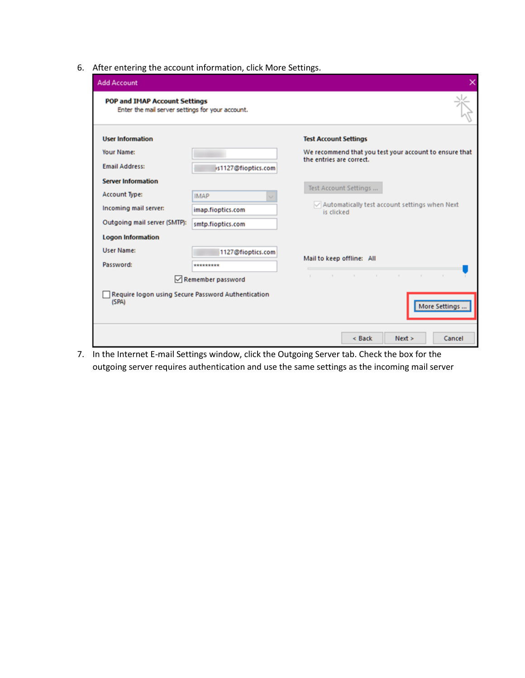6. After entering the account information, click More Settings.

| <b>Add Account</b><br><b>POP and IMAP Account Settings</b>  |                     |                                                                                    |
|-------------------------------------------------------------|---------------------|------------------------------------------------------------------------------------|
| Enter the mail server settings for your account.            |                     |                                                                                    |
| <b>User Information</b>                                     |                     | <b>Test Account Settings</b>                                                       |
| Your Name:                                                  |                     | We recommend that you test your account to ensure that<br>the entries are correct. |
| <b>Email Address:</b>                                       | is1127@fioptics.com |                                                                                    |
| <b>Server Information</b>                                   |                     | Test Account Settings                                                              |
| <b>Account Type:</b>                                        | <b>IMAP</b>         |                                                                                    |
| Incoming mail server:                                       | imap.fioptics.com   | $\vee$ Automatically test account settings when Next<br>is clicked                 |
| Outgoing mail server (SMTP):                                | smtp.fioptics.com   |                                                                                    |
| <b>Logon Information</b>                                    |                     |                                                                                    |
| <b>User Name:</b>                                           | 1127@fioptics.com   |                                                                                    |
| Password:                                                   | *********           | Mail to keep offline: All                                                          |
|                                                             | Remember password   | the contract of the contract of the con-<br>$\sim$                                 |
| Require logon using Secure Password Authentication<br>(SPA) |                     | More Settings                                                                      |
|                                                             |                     | $<$ Back<br>Next ><br>Cancel                                                       |

7. In the Internet E-mail Settings window, click the Outgoing Server tab. Check the box for the outgoing server requires authentication and use the same settings as the incoming mail server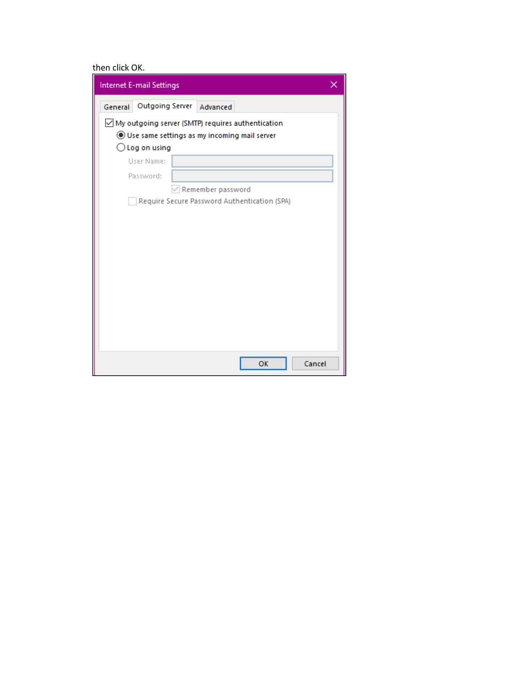## then click OK.

| Internet E-mail Settings                                    |  |  |
|-------------------------------------------------------------|--|--|
| Outgoing Server Advanced<br>General                         |  |  |
| $\boxdot$ My outgoing server (SMTP) requires authentication |  |  |
| Use same settings as my incoming mail server                |  |  |
| $\bigcirc$ Log on using                                     |  |  |
| User Name:                                                  |  |  |
| Password:                                                   |  |  |
| Remember password                                           |  |  |
| Require Secure Password Authentication (SPA)                |  |  |
|                                                             |  |  |
|                                                             |  |  |
|                                                             |  |  |
|                                                             |  |  |
|                                                             |  |  |
|                                                             |  |  |
|                                                             |  |  |
|                                                             |  |  |
|                                                             |  |  |
|                                                             |  |  |
|                                                             |  |  |
| OK<br>Cancel                                                |  |  |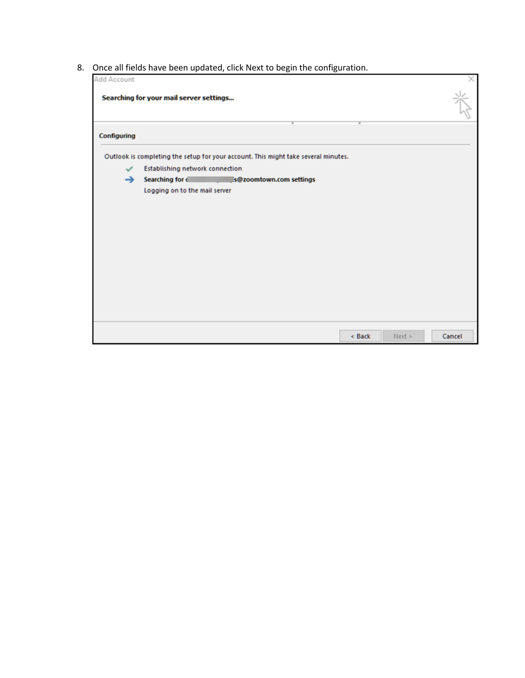8. Once all fields have been updated, click Next to begin the configuration.

| <b>Add Account</b> | once an neias nave been apaated, ener next to begin the connection.                   |        |
|--------------------|---------------------------------------------------------------------------------------|--------|
|                    | Searching for your mail server settings                                               |        |
| Configuring        |                                                                                       |        |
|                    | Outlook is completing the setup for your account. This might take several minutes.    |        |
| $\checkmark$       | <b>Establishing network connection</b>                                                |        |
| →                  | Searching for comparison is searchings of the searching for comparison is searchings. |        |
|                    | Logging on to the mail server                                                         |        |
|                    |                                                                                       |        |
|                    |                                                                                       |        |
|                    |                                                                                       |        |
|                    |                                                                                       |        |
|                    |                                                                                       |        |
|                    |                                                                                       |        |
|                    |                                                                                       |        |
|                    |                                                                                       |        |
|                    |                                                                                       |        |
|                    |                                                                                       |        |
|                    |                                                                                       |        |
|                    | < Back<br>Next                                                                        | Cancel |